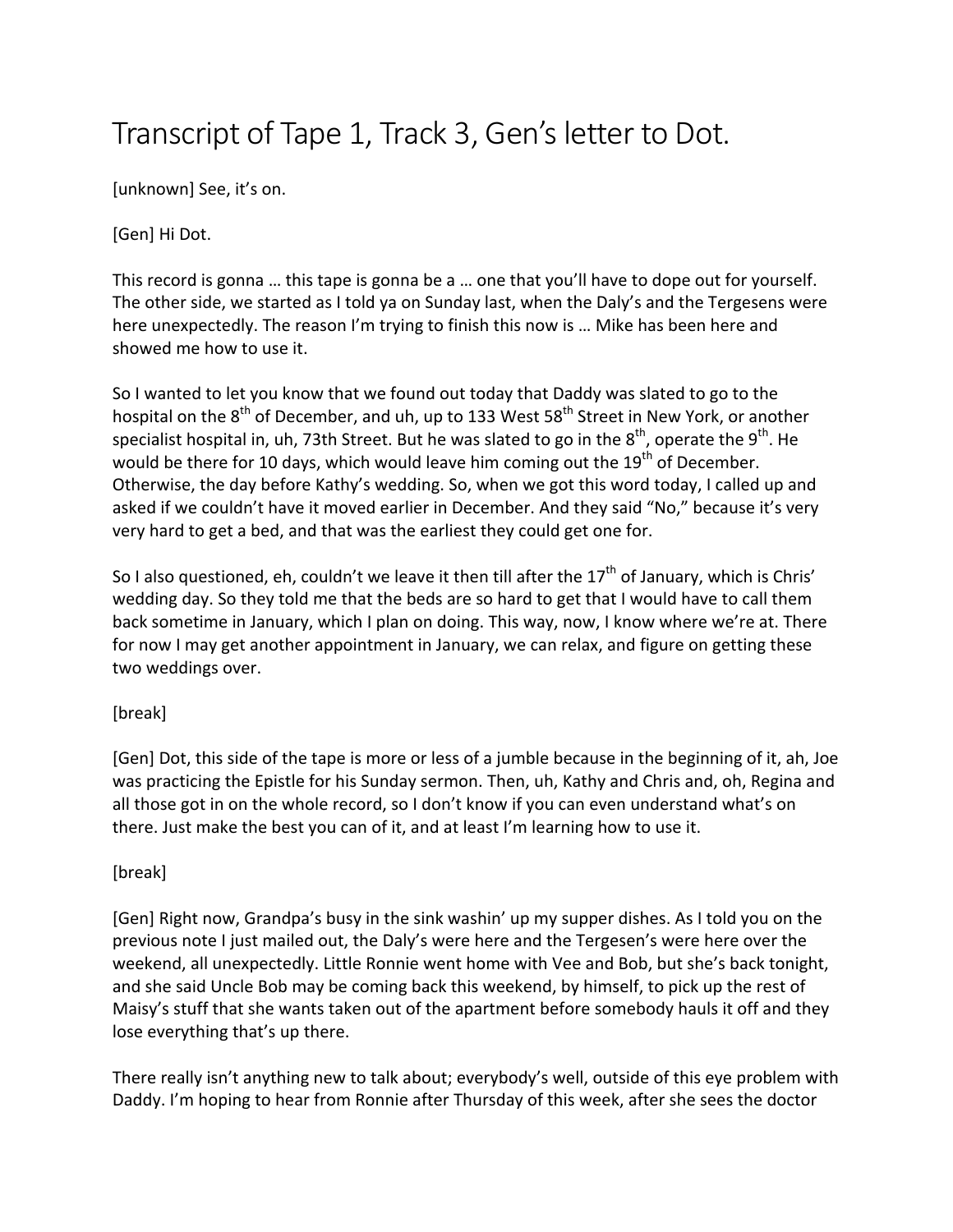## Transcript of Tape 1, Track 3, Gen's letter to Dot.

[unknown] See, it's on.

[Gen] Hi Dot.

This record is gonna ... this tape is gonna be a ... one that you'll have to dope out for yourself. The other side, we started as I told ya on Sunday last, when the Daly's and the Tergesens were here unexpectedly. The reason I'm trying to finish this now is ... Mike has been here and showed me how to use it.

So I wanted to let you know that we found out today that Daddy was slated to go to the hospital on the  $8<sup>th</sup>$  of December, and uh, up to 133 West 58<sup>th</sup> Street in New York, or another specialist hospital in, uh, 73th Street. But he was slated to go in the  $8^{th}$ , operate the  $9^{th}$ . He would be there for 10 days, which would leave him coming out the  $19<sup>th</sup>$  of December. Otherwise, the day before Kathy's wedding. So, when we got this word today, I called up and asked if we couldn't have it moved earlier in December. And they said "No," because it's very very hard to get a bed, and that was the earliest they could get one for.

So I also questioned, eh, couldn't we leave it then till after the  $17<sup>th</sup>$  of January, which is Chris' wedding day. So they told me that the beds are so hard to get that I would have to call them back sometime in January, which I plan on doing. This way, now, I know where we're at. There for now I may get another appointment in January, we can relax, and figure on getting these two weddings over.

## [break]

[Gen] Dot, this side of the tape is more or less of a jumble because in the beginning of it, ah, Joe was practicing the Epistle for his Sunday sermon. Then, uh, Kathy and Chris and, oh, Regina and all those got in on the whole record, so I don't know if you can even understand what's on there. Just make the best you can of it, and at least I'm learning how to use it.

## [break]

[Gen] Right now, Grandpa's busy in the sink washin' up my supper dishes. As I told you on the previous note I just mailed out, the Daly's were here and the Tergesen's were here over the weekend, all unexpectedly. Little Ronnie went home with Vee and Bob, but she's back tonight, and she said Uncle Bob may be coming back this weekend, by himself, to pick up the rest of Maisy's stuff that she wants taken out of the apartment before somebody hauls it off and they lose everything that's up there.

There really isn't anything new to talk about; everybody's well, outside of this eye problem with Daddy. I'm hoping to hear from Ronnie after Thursday of this week, after she sees the doctor